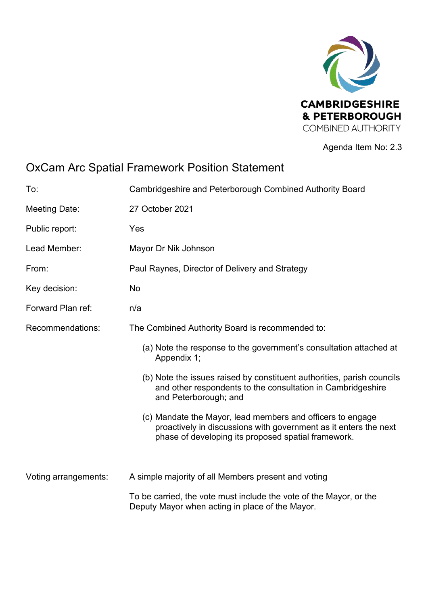

Agenda Item No: 2.3

# OxCam Arc Spatial Framework Position Statement

| To:                  | Cambridgeshire and Peterborough Combined Authority Board                                                                                                                              |
|----------------------|---------------------------------------------------------------------------------------------------------------------------------------------------------------------------------------|
| <b>Meeting Date:</b> | 27 October 2021                                                                                                                                                                       |
| Public report:       | Yes                                                                                                                                                                                   |
| Lead Member:         | Mayor Dr Nik Johnson                                                                                                                                                                  |
| From:                | Paul Raynes, Director of Delivery and Strategy                                                                                                                                        |
| Key decision:        | No                                                                                                                                                                                    |
| Forward Plan ref:    | n/a                                                                                                                                                                                   |
| Recommendations:     | The Combined Authority Board is recommended to:                                                                                                                                       |
|                      | (a) Note the response to the government's consultation attached at<br>Appendix 1;                                                                                                     |
|                      | (b) Note the issues raised by constituent authorities, parish councils<br>and other respondents to the consultation in Cambridgeshire<br>and Peterborough; and                        |
|                      | (c) Mandate the Mayor, lead members and officers to engage<br>proactively in discussions with government as it enters the next<br>phase of developing its proposed spatial framework. |
|                      |                                                                                                                                                                                       |
| Voting arrangements: | A simple majority of all Members present and voting                                                                                                                                   |
|                      | To be carried, the vote must include the vote of the Mayor, or the<br>Deputy Mayor when acting in place of the Mayor.                                                                 |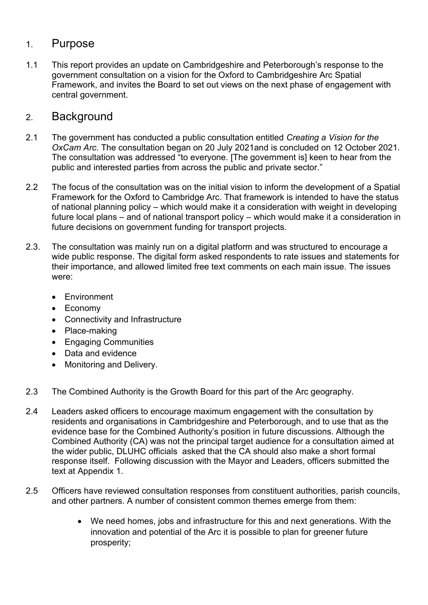### 1. Purpose

1.1 This report provides an update on Cambridgeshire and Peterborough's response to the government consultation on a vision for the Oxford to Cambridgeshire Arc Spatial Framework, and invites the Board to set out views on the next phase of engagement with central government.

### 2. Background

- 2.1 The government has conducted a public consultation entitled *Creating a Vision for the OxCam Arc.* The consultation began on 20 July 2021and is concluded on 12 October 2021. The consultation was addressed "to everyone. [The government is] keen to hear from the public and interested parties from across the public and private sector."
- 2.2 The focus of the consultation was on the initial vision to inform the development of a Spatial Framework for the Oxford to Cambridge Arc. That framework is intended to have the status of national planning policy – which would make it a consideration with weight in developing future local plans – and of national transport policy – which would make it a consideration in future decisions on government funding for transport projects.
- 2.3. The consultation was mainly run on a digital platform and was structured to encourage a wide public response. The digital form asked respondents to rate issues and statements for their importance, and allowed limited free text comments on each main issue. The issues were:
	- Environment
	- Economy
	- Connectivity and Infrastructure
	- Place-making
	- Engaging Communities
	- Data and evidence
	- Monitoring and Delivery.
- 2.3 The Combined Authority is the Growth Board for this part of the Arc geography.
- 2.4 Leaders asked officers to encourage maximum engagement with the consultation by residents and organisations in Cambridgeshire and Peterborough, and to use that as the evidence base for the Combined Authority's position in future discussions. Although the Combined Authority (CA) was not the principal target audience for a consultation aimed at the wider public, DLUHC officials asked that the CA should also make a short formal response itself. Following discussion with the Mayor and Leaders, officers submitted the text at Appendix 1.
- 2.5 Officers have reviewed consultation responses from constituent authorities, parish councils, and other partners. A number of consistent common themes emerge from them:
	- We need homes, jobs and infrastructure for this and next generations. With the innovation and potential of the Arc it is possible to plan for greener future prosperity;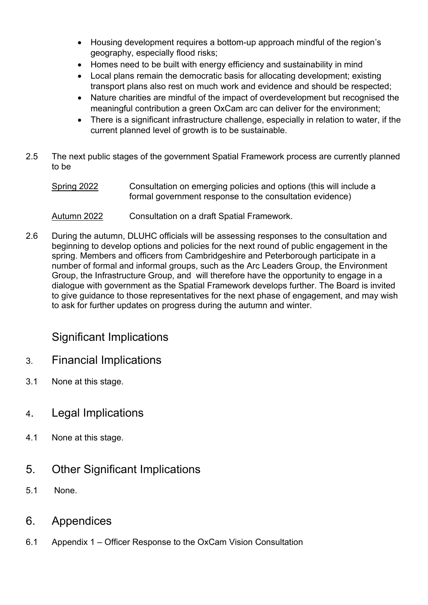- Housing development requires a bottom-up approach mindful of the region's geography, especially flood risks;
- Homes need to be built with energy efficiency and sustainability in mind
- Local plans remain the democratic basis for allocating development; existing transport plans also rest on much work and evidence and should be respected;
- Nature charities are mindful of the impact of overdevelopment but recognised the meaningful contribution a green OxCam arc can deliver for the environment;
- There is a significant infrastructure challenge, especially in relation to water, if the current planned level of growth is to be sustainable.
- 2.5 The next public stages of the government Spatial Framework process are currently planned to be
	- Spring 2022 Consultation on emerging policies and options (this will include a formal government response to the consultation evidence)
	- Autumn 2022 Consultation on a draft Spatial Framework.
- 2.6 During the autumn, DLUHC officials will be assessing responses to the consultation and beginning to develop options and policies for the next round of public engagement in the spring. Members and officers from Cambridgeshire and Peterborough participate in a number of formal and informal groups, such as the Arc Leaders Group, the Environment Group, the Infrastructure Group, and will therefore have the opportunity to engage in a dialogue with government as the Spatial Framework develops further. The Board is invited to give guidance to those representatives for the next phase of engagement, and may wish to ask for further updates on progress during the autumn and winter.

### Significant Implications

- 3. Financial Implications
- 3.1 None at this stage.
- 4. Legal Implications
- 4.1 None at this stage.
- 5. Other Significant Implications
- 5.1 None.
- 6. Appendices
- 6.1 Appendix 1 Officer Response to the OxCam Vision Consultation